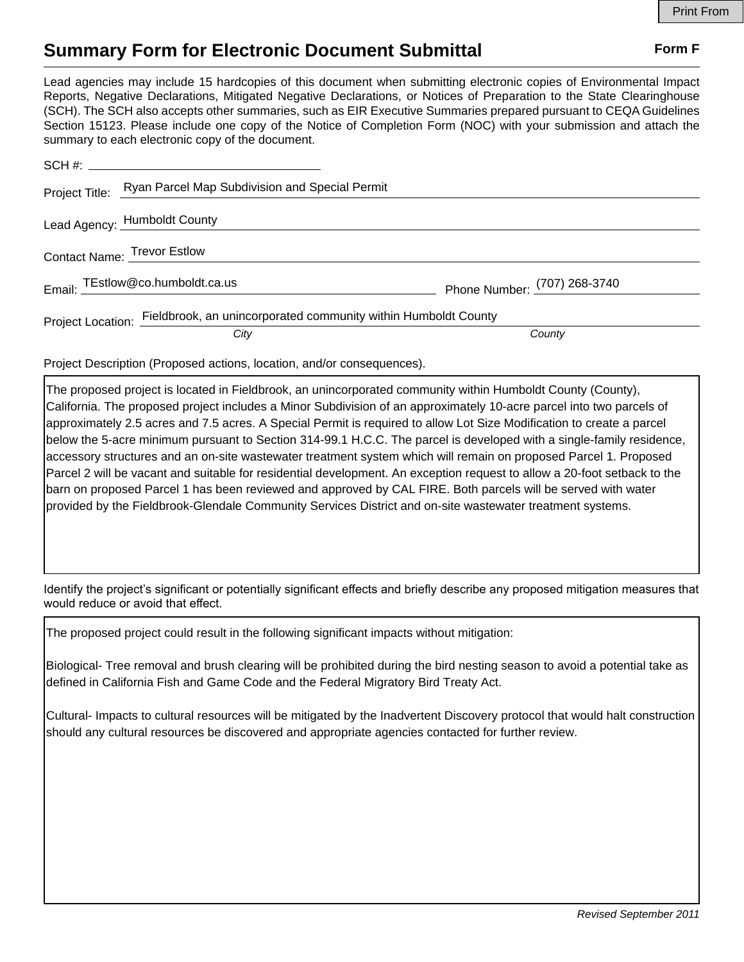## **Summary Form for Electronic Document Submittal Form F Form F**

Lead agencies may include 15 hardcopies of this document when submitting electronic copies of Environmental Impact Reports, Negative Declarations, Mitigated Negative Declarations, or Notices of Preparation to the State Clearinghouse (SCH). The SCH also accepts other summaries, such as EIR Executive Summaries prepared pursuant to CEQA Guidelines Section 15123. Please include one copy of the Notice of Completion Form (NOC) with your submission and attach the summary to each electronic copy of the document.

|                             | Project Title: Ryan Parcel Map Subdivision and Special Permit                    |                              |
|-----------------------------|----------------------------------------------------------------------------------|------------------------------|
|                             | Lead Agency: Humboldt County                                                     |                              |
| Contact Name: Trevor Estlow |                                                                                  |                              |
|                             | Email: TEstlow@co.humboldt.ca.us                                                 | Phone Number: (707) 268-3740 |
|                             | Project Location: Fieldbrook, an unincorporated community within Humboldt County |                              |
|                             | City                                                                             | County                       |

Project Description (Proposed actions, location, and/or consequences).

The proposed project is located in Fieldbrook, an unincorporated community within Humboldt County (County), California. The proposed project includes a Minor Subdivision of an approximately 10-acre parcel into two parcels of approximately 2.5 acres and 7.5 acres. A Special Permit is required to allow Lot Size Modification to create a parcel below the 5-acre minimum pursuant to Section 314-99.1 H.C.C. The parcel is developed with a single-family residence, accessory structures and an on-site wastewater treatment system which will remain on proposed Parcel 1. Proposed Parcel 2 will be vacant and suitable for residential development. An exception request to allow a 20-foot setback to the barn on proposed Parcel 1 has been reviewed and approved by CAL FIRE. Both parcels will be served with water provided by the Fieldbrook-Glendale Community Services District and on-site wastewater treatment systems.

Identify the project's significant or potentially significant effects and briefly describe any proposed mitigation measures that would reduce or avoid that effect.

The proposed project could result in the following significant impacts without mitigation:

Biological- Tree removal and brush clearing will be prohibited during the bird nesting season to avoid a potential take as defined in California Fish and Game Code and the Federal Migratory Bird Treaty Act.

Cultural- Impacts to cultural resources will be mitigated by the Inadvertent Discovery protocol that would halt construction should any cultural resources be discovered and appropriate agencies contacted for further review.